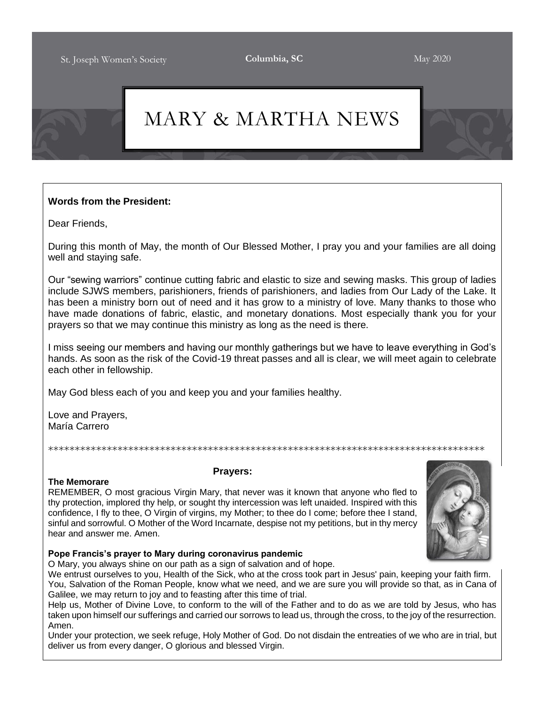## MARY & MARTHA NEWS

## **Words from the President:**

Dear Friends,

During this month of May, the month of Our Blessed Mother, I pray you and your families are all doing well and staying safe.

Our "sewing warriors" continue cutting fabric and elastic to size and sewing masks. This group of ladies include SJWS members, parishioners, friends of parishioners, and ladies from Our Lady of the Lake. It has been a ministry born out of need and it has grow to a ministry of love. Many thanks to those who have made donations of fabric, elastic, and monetary donations. Most especially thank you for your prayers so that we may continue this ministry as long as the need is there.

I miss seeing our members and having our monthly gatherings but we have to leave everything in God's hands. As soon as the risk of the Covid-19 threat passes and all is clear, we will meet again to celebrate each other in fellowship.

\*\*\*\*\*\*\*\*\*\*\*\*\*\*\*\*\*\*\*\*\*\*\*\*\*\*\*\*\*\*\*\*\*\*\*\*\*\*\*\*\*\*\*\*\*\*\*\*\*\*\*\*\*\*\*\*\*\*\*\*\*\*\*\*\*\*\*\*\*\*\*\*\*\*\*\*\*\*\*\*\*\*

May God bless each of you and keep you and your families healthy.

Love and Prayers, María Carrero

## **Prayers:**

**The Memorare**

REMEMBER, O most gracious Virgin Mary, that never was it known that anyone who fled to thy protection, implored thy help, or sought thy intercession was left unaided. Inspired with this confidence, I fly to thee, O Virgin of virgins, my Mother; to thee do I come; before thee I stand, sinful and sorrowful. O Mother of the Word Incarnate, despise not my petitions, but in thy mercy hear and answer me. Amen.



## **Pope Francis's prayer to Mary during coronavirus pandemic**

O Mary, you always shine on our path as a sign of salvation and of hope.

We entrust ourselves to you, Health of the Sick, who at the cross took part in Jesus' pain, keeping your faith firm. You, Salvation of the Roman People, know what we need, and we are sure you will provide so that, as in Cana of Galilee, we may return to joy and to feasting after this time of trial.

Help us, Mother of Divine Love, to conform to the will of the Father and to do as we are told by Jesus, who has taken upon himself our sufferings and carried our sorrows to lead us, through the cross, to the joy of the resurrection. Amen.

Under your protection, we seek refuge, Holy Mother of God. Do not disdain the entreaties of we who are in trial, but deliver us from every danger, O glorious and blessed Virgin.